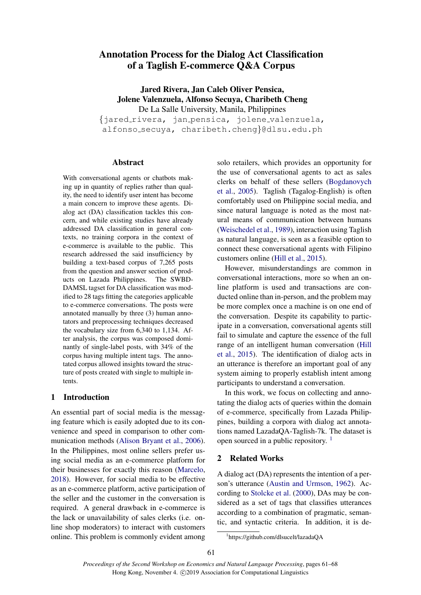# Annotation Process for the Dialog Act Classification of a Taglish E-commerce Q&A Corpus

Jared Rivera, Jan Caleb Oliver Pensica, Jolene Valenzuela, Alfonso Secuya, Charibeth Cheng De La Salle University, Manila, Philippines

{jared rivera, jan pensica, jolene valenzuela, alfonso secuya, charibeth.cheng}@dlsu.edu.ph

### Abstract

With conversational agents or chatbots making up in quantity of replies rather than quality, the need to identify user intent has become a main concern to improve these agents. Dialog act (DA) classification tackles this concern, and while existing studies have already addressed DA classification in general contexts, no training corpora in the context of e-commerce is available to the public. This research addressed the said insufficiency by building a text-based corpus of 7,265 posts from the question and answer section of products on Lazada Philippines. The SWBD-DAMSL tagset for DA classification was modified to 28 tags fitting the categories applicable to e-commerce conversations. The posts were annotated manually by three (3) human annotators and preprocessing techniques decreased the vocabulary size from 6,340 to 1,134. After analysis, the corpus was composed dominantly of single-label posts, with 34% of the corpus having multiple intent tags. The annotated corpus allowed insights toward the structure of posts created with single to multiple intents.

# 1 Introduction

An essential part of social media is the messaging feature which is easily adopted due to its convenience and speed in comparison to other communication methods [\(Alison Bryant et al.,](#page-6-0) [2006\)](#page-6-0). In the Philippines, most online sellers prefer using social media as an e-commerce platform for their businesses for exactly this reason [\(Marcelo,](#page-6-1) [2018\)](#page-6-1). However, for social media to be effective as an e-commerce platform, active participation of the seller and the customer in the conversation is required. A general drawback in e-commerce is the lack or unavailability of sales clerks (i.e. online shop moderators) to interact with customers online. This problem is commonly evident among solo retailers, which provides an opportunity for the use of conversational agents to act as sales clerks on behalf of these sellers [\(Bogdanovych](#page-6-2) [et al.,](#page-6-2) [2005\)](#page-6-2). Taglish (Tagalog-English) is often comfortably used on Philippine social media, and since natural language is noted as the most natural means of communication between humans [\(Weischedel et al.,](#page-6-3) [1989\)](#page-6-3), interaction using Taglish as natural language, is seen as a feasible option to connect these conversational agents with Filipino customers online [\(Hill et al.,](#page-6-4) [2015\)](#page-6-4).

However, misunderstandings are common in conversational interactions, more so when an online platform is used and transactions are conducted online than in-person, and the problem may be more complex once a machine is on one end of the conversation. Despite its capability to participate in a conversation, conversational agents still fail to simulate and capture the essence of the full range of an intelligent human conversation [\(Hill](#page-6-4) [et al.,](#page-6-4) [2015\)](#page-6-4). The identification of dialog acts in an utterance is therefore an important goal of any system aiming to properly establish intent among participants to understand a conversation.

In this work, we focus on collecting and annotating the dialog acts of queries within the domain of e-commerce, specifically from Lazada Philippines, building a corpora with dialog act annotations named LazadaQA-Taglish-7k. The dataset is open sourced in a public repository. [1](#page-0-0)

# 2 Related Works

A dialog act (DA) represents the intention of a person's utterance [\(Austin and Urmson,](#page-6-5) [1962\)](#page-6-5). According to [Stolcke et al.](#page-6-6) [\(2000\)](#page-6-6), DAs may be considered as a set of tags that classifies utterances according to a combination of pragmatic, semantic, and syntactic criteria. In addition, it is de-

<span id="page-0-0"></span><sup>1</sup> https://github.com/dlsucelt/lazadaQA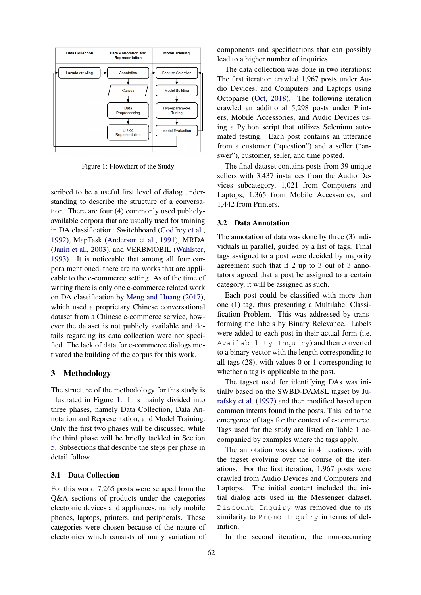<span id="page-1-0"></span>

Figure 1: Flowchart of the Study

scribed to be a useful first level of dialog understanding to describe the structure of a conversation. There are four (4) commonly used publiclyavailable corpora that are usually used for training in DA classification: Switchboard [\(Godfrey et al.,](#page-6-7) [1992\)](#page-6-7), MapTask [\(Anderson et al.,](#page-6-8) [1991\)](#page-6-8), MRDA [\(Janin et al.,](#page-6-9) [2003\)](#page-6-9), and VERBMOBIL [\(Wahlster,](#page-6-10) [1993\)](#page-6-10). It is noticeable that among all four corpora mentioned, there are no works that are applicable to the e-commerce setting. As of the time of writing there is only one e-commerce related work on DA classification by [Meng and Huang](#page-6-11) [\(2017\)](#page-6-11), which used a proprietary Chinese conversational dataset from a Chinese e-commerce service, however the dataset is not publicly available and details regarding its data collection were not specified. The lack of data for e-commerce dialogs motivated the building of the corpus for this work.

## 3 Methodology

The structure of the methodology for this study is illustrated in Figure [1.](#page-1-0) It is mainly divided into three phases, namely Data Collection, Data Annotation and Representation, and Model Training. Only the first two phases will be discussed, while the third phase will be briefly tackled in Section [5.](#page-5-0) Subsections that describe the steps per phase in detail follow.

# 3.1 Data Collection

For this work, 7,265 posts were scraped from the Q&A sections of products under the categories electronic devices and appliances, namely mobile phones, laptops, printers, and peripherals. These categories were chosen because of the nature of electronics which consists of many variation of

components and specifications that can possibly lead to a higher number of inquiries.

The data collection was done in two iterations: The first iteration crawled 1,967 posts under Audio Devices, and Computers and Laptops using Octoparse [\(Oct,](#page-6-12) [2018\)](#page-6-12). The following iteration crawled an additional 5,298 posts under Printers, Mobile Accessories, and Audio Devices using a Python script that utilizes Selenium automated testing. Each post contains an utterance from a customer ("question") and a seller ("answer"), customer, seller, and time posted.

The final dataset contains posts from 39 unique sellers with 3,437 instances from the Audio Devices subcategory, 1,021 from Computers and Laptops, 1,365 from Mobile Accessories, and 1,442 from Printers.

### 3.2 Data Annotation

The annotation of data was done by three (3) individuals in parallel, guided by a list of tags. Final tags assigned to a post were decided by majority agreement such that if 2 up to 3 out of 3 annotators agreed that a post be assigned to a certain category, it will be assigned as such.

Each post could be classified with more than one (1) tag, thus presenting a Multilabel Classification Problem. This was addressed by transforming the labels by Binary Relevance. Labels were added to each post in their actual form (i.e. Availability Inquiry) and then converted to a binary vector with the length corresponding to all tags (28), with values 0 or 1 corresponding to whether a tag is applicable to the post.

The tagset used for identifying DAs was initially based on the SWBD-DAMSL tagset by [Ju](#page-6-13)[rafsky et al.](#page-6-13) [\(1997\)](#page-6-13) and then modified based upon common intents found in the posts. This led to the emergence of tags for the context of e-commerce. Tags used for the study are listed on Table [1](#page-2-0) accompanied by examples where the tags apply.

The annotation was done in 4 iterations, with the tagset evolving over the course of the iterations. For the first iteration, 1,967 posts were crawled from Audio Devices and Computers and Laptops. The initial content included the initial dialog acts used in the Messenger dataset. Discount Inquiry was removed due to its similarity to Promo Inquiry in terms of definition.

In the second iteration, the non-occurring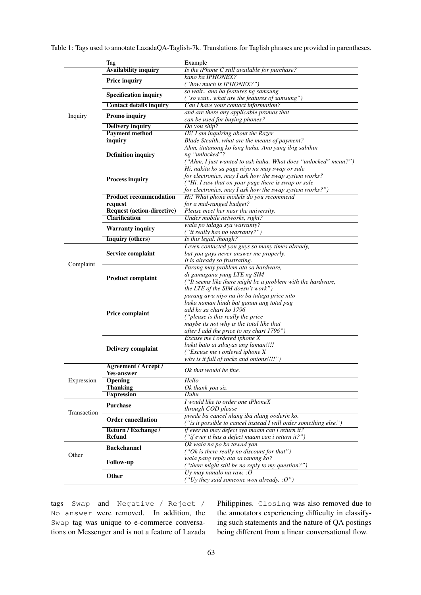|             | Tag                                                       | Example                                                                    |
|-------------|-----------------------------------------------------------|----------------------------------------------------------------------------|
|             | <b>Availability inquiry</b>                               | Is the iPhone C still available for purchase?                              |
|             | <b>Price inquiry</b>                                      | kano ba IPHONEX?                                                           |
|             |                                                           | ("how much is IPHONEX?")                                                   |
|             | <b>Specification inquiry</b>                              | so wait ano ba features ng samsung                                         |
|             |                                                           | ("so wait what are the features of samsung")                               |
|             | <b>Contact details inquiry</b>                            | Can I have your contact information?                                       |
| Inquiry     | <b>Promo inquiry</b>                                      | and are there any applicable promos that<br>can be used for buying phones? |
|             | <b>Delivery inquiry</b>                                   | Do you ship?                                                               |
|             | <b>Payment method</b>                                     | Hi! I am inquiring about the Razer                                         |
|             | inquiry                                                   | Blade Stealth, what are the means of payment?                              |
|             |                                                           | Ahm, itatanong ko lang haha. Ano yung ibig sabihin                         |
|             | <b>Definition inquiry</b>                                 | ng "unlocked"?                                                             |
|             |                                                           | ("Ahm, I just wanted to ask haha. What does "unlocked" mean?")             |
|             |                                                           | Hi, nakita ko sa page niyo na may swap or sale                             |
|             | <b>Process inquiry</b>                                    | for electronics, may I ask how the swap system works?                      |
|             |                                                           | ("Hi, I saw that on your page there is swap or sale                        |
|             |                                                           | for electronics, may I ask how the swap system works?")                    |
|             | <b>Product recommendation</b>                             | Hi! What phone models do you recommend                                     |
|             | request                                                   | for a mid-ranged budget?                                                   |
|             | <b>Request (action-directive)</b><br><b>Clarification</b> | Please meet her near the university.<br>Under mobile networks, right?      |
|             |                                                           | wala po talaga sya warranty?                                               |
|             | <b>Warranty inquiry</b>                                   | ("it really has no warranty?")                                             |
|             | <b>Inquiry (others)</b>                                   | Is this legal, though?                                                     |
|             |                                                           | I even contacted you guys so many times already,                           |
|             | Service complaint                                         | but you guys never answer me properly.                                     |
|             |                                                           | It is already so frustrating.                                              |
| Complaint   |                                                           | Parang may problem ata sa hardware,                                        |
|             | <b>Product complaint</b>                                  | di gumagana yung LTE ng SIM                                                |
|             |                                                           | ("It seems like there might be a problem with the hardware,                |
|             |                                                           | the LTE of the SIM doesn't work")                                          |
|             |                                                           | parang awa niyo na ito ba talaga price nito                                |
|             | <b>Price complaint</b>                                    | baka naman hindi bat ganun ang total pag                                   |
|             |                                                           | add ko sa chart ko 1796                                                    |
|             |                                                           | ("please is this really the price")                                        |
|             |                                                           | maybe its not why is the total like that                                   |
|             |                                                           | after I add the price to my chart 1796")                                   |
|             |                                                           | Excuse me i ordered iphone X                                               |
|             | <b>Delivery complaint</b>                                 | bakit bato at sibuyas ang laman!!!!                                        |
|             |                                                           | ("Excuse me i ordered iphone X<br>why is it full of rocks and onions!!!!") |
|             | <b>Agreement / Accept /</b>                               |                                                                            |
|             | <b>Yes-answer</b>                                         | Ok that would be fine.                                                     |
| Expression  | <b>Opening</b>                                            | Hello                                                                      |
|             | <b>Thanking</b>                                           | Ok thank you siz                                                           |
|             | <b>Expression</b>                                         | <b>Huhu</b>                                                                |
|             |                                                           | I would like to order one iPhoneX                                          |
|             | <b>Purchase</b>                                           | through COD please                                                         |
| Transaction | <b>Order cancellation</b>                                 | pwede ba cancel nlang iba nlang ooderin ko.                                |
|             |                                                           | ("is it possible to cancel instead I will order something else.")          |
|             | Return / Exchange /                                       | if ever na may defect sya maam can i return it?                            |
|             | <b>Refund</b>                                             | ("if ever it has a defect maam can i return it?")                          |
|             | <b>Backchannel</b>                                        | Ok wala na po ba tawad yan                                                 |
| Other       |                                                           | ("Ok is there really no discount for that")                                |
|             | <b>Follow-up</b>                                          | wala pang reply ata sa tanong ko?                                          |
|             |                                                           | ("there might still be no reply to my question?")                          |
|             | Other                                                     | Uy may nanalo na raw. : $O$                                                |
|             |                                                           | ("Uy they said someone won already. $: O"$ )                               |

<span id="page-2-0"></span>Table 1: Tags used to annotate LazadaQA-Taglish-7k. Translations for Taglish phrases are provided in parentheses.

tags Swap and Negative / Reject / No-answer were removed. In addition, the Swap tag was unique to e-commerce conversations on Messenger and is not a feature of Lazada

Philippines. Closing was also removed due to the annotators experiencing difficulty in classifying such statements and the nature of QA postings being different from a linear conversational flow.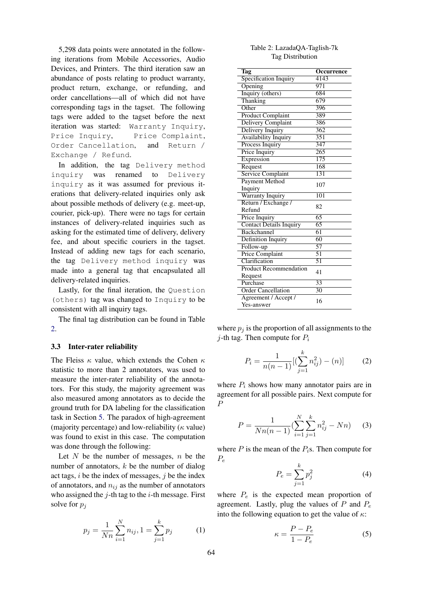5,298 data points were annotated in the following iterations from Mobile Accessories, Audio Devices, and Printers. The third iteration saw an abundance of posts relating to product warranty, product return, exchange, or refunding, and order cancellations—all of which did not have corresponding tags in the tagset. The following tags were added to the tagset before the next iteration was started: Warranty Inquiry, Price Inquiry, Price Complaint, Order Cancellation, and Return / Exchange / Refund.

In addition, the tag Delivery method inquiry was renamed to Delivery inquiry as it was assumed for previous iterations that delivery-related inquiries only ask about possible methods of delivery (e.g. meet-up, courier, pick-up). There were no tags for certain instances of delivery-related inquiries such as asking for the estimated time of delivery, delivery fee, and about specific couriers in the tagset. Instead of adding new tags for each scenario, the tag Delivery method inquiry was made into a general tag that encapsulated all delivery-related inquiries.

Lastly, for the final iteration, the Question (others) tag was changed to Inquiry to be consistent with all inquiry tags.

The final tag distribution can be found in Table [2.](#page-3-0)

#### 3.3 Inter-rater reliability

The Fleiss  $\kappa$  value, which extends the Cohen  $\kappa$ statistic to more than 2 annotators, was used to measure the inter-rater reliability of the annotators. For this study, the majority agreement was also measured among annotators as to decide the ground truth for DA labeling for the classification task in Section [5.](#page-5-0) The paradox of high-agreement (majority percentage) and low-reliability ( $\kappa$  value) was found to exist in this case. The computation was done through the following:

Let  $N$  be the number of messages,  $n$  be the number of annotators,  $k$  be the number of dialog act tags,  $i$  be the index of messages,  $j$  be the index of annotators, and  $n_{ij}$  as the number of annotators who assigned the  $i$ -th tag to the  $i$ -th message. First solve for  $p_i$ 

$$
p_j = \frac{1}{Nn} \sum_{i=1}^{N} n_{ij}, 1 = \sum_{j=1}^{k} p_j
$$
 (1)

| Table 2: LazadaQA-Taglish-7k |
|------------------------------|
| Tag Distribution             |

<span id="page-3-0"></span>

| Tag                                | Occurrence        |
|------------------------------------|-------------------|
| Specification Inquiry              | $\overline{4143}$ |
| Opening                            | 971               |
| Inquiry (others)                   | 684               |
| Thanking                           | 679               |
| Other                              | 396               |
| <b>Product Complaint</b>           | 389               |
| <b>Delivery Complaint</b>          | 386               |
| Delivery Inquiry                   | $\frac{362}{2}$   |
| <b>Availability Inquiry</b>        | 351               |
| Process Inquiry                    | 347               |
| Price Inquiry                      | $\overline{265}$  |
| Expression                         | 175               |
|                                    | 168               |
| Request                            | 131               |
| <b>Service Complaint</b>           |                   |
| <b>Payment Method</b>              | 107               |
| Inquiry                            | 101               |
| <b>Warranty Inquiry</b>            |                   |
| Return / Exchange /                | 82                |
| Refund                             | $\overline{65}$   |
| Price Inquiry                      |                   |
| <b>Contact Details Inquiry</b>     | $\overline{65}$   |
| Backchannel                        | 61                |
| Definition Inquiry                 | $\overline{60}$   |
| Follow-up                          | 57                |
| <b>Price Complaint</b>             | $\overline{51}$   |
| Clarification                      | $\overline{51}$   |
| <b>Product Recommendation</b>      | 41                |
| Request                            |                   |
| Purchase                           | $\overline{33}$   |
| <b>Order Cancellation</b>          | $\overline{30}$   |
| Agreement / Accept /<br>Yes-answer | 16                |

where  $p_i$  is the proportion of all assignments to the *j*-th tag. Then compute for  $P_i$ 

$$
P_i = \frac{1}{n(n-1)} [(\sum_{j=1}^k n_{ij}^2) - (n)]
$$
 (2)

where  $P_i$  shows how many annotator pairs are in agreement for all possible pairs. Next compute for P

$$
P = \frac{1}{Nn(n-1)} \left( \sum_{i=1}^{N} \sum_{j=1}^{k} n_{ij}^{2} - Nn \right) \tag{3}
$$

where  $P$  is the mean of the  $P_i$ s. Then compute for  $P_e$ 

$$
P_e = \sum_{j=1}^{k} p_j^2 \tag{4}
$$

where  $P_e$  is the expected mean proportion of agreement. Lastly, plug the values of  $P$  and  $P_e$ into the following equation to get the value of  $\kappa$ :

$$
\kappa = \frac{P - P_e}{1 - P_e} \tag{5}
$$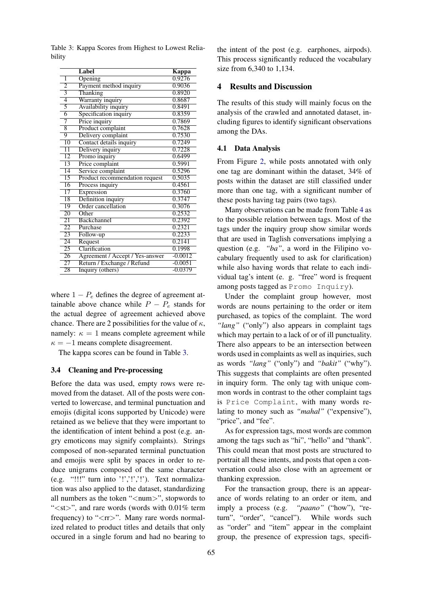|                 | Label                           | Kappa     |
|-----------------|---------------------------------|-----------|
| 1               | Opening                         | 0.9276    |
| $\overline{2}$  | Payment method inquiry          | 0.9036    |
| 3               | Thanking                        | 0.8920    |
| $\overline{4}$  | Warranty inquiry                | 0.8687    |
| $\overline{5}$  | Availability inquiry            | 0.8491    |
| $\overline{6}$  | Specification inquiry           | 0.8359    |
| 7               | Price inquiry                   | 0.7869    |
| 8               | Product complaint               | 0.7628    |
| 9               | Delivery complaint              | 0.7530    |
| 10              | Contact details inquiry         | 0.7249    |
| $\overline{11}$ | Delivery inquiry                | 0.7228    |
| $\overline{12}$ | Promo inquiry                   | 0.6499    |
| 13              | Price complaint                 | 0.5991    |
| $\overline{14}$ | Service complaint               | 0.5296    |
| 15              | Product recommendation request  | 0.5035    |
| 16              | Process inquiry                 | 0.4561    |
| 17              | Expression                      | 0.3760    |
| 18              | Definition inquiry              | 0.3747    |
| 19              | Order cancellation              | 0.3076    |
| 20              | Other                           | 0.2532    |
| $\overline{21}$ | <b>Backchannel</b>              | 0.2392    |
| 22              | Purchase                        | 0.2321    |
| $\overline{23}$ | Follow-up                       | 0.2233    |
| $\overline{24}$ | Request                         | 0.2141    |
| $\overline{25}$ | Clarification                   | 0.1998    |
| 26              | Agreement / Accept / Yes-answer | $-0.0012$ |
| 27              | Return / Exchange / Refund      | $-0.0051$ |
| 28              | Inquiry (others)                | $-0.0379$ |

<span id="page-4-0"></span>Table 3: Kappa Scores from Highest to Lowest Reliability

where  $1 - P_e$  defines the degree of agreement attainable above chance while  $P - P_e$  stands for the actual degree of agreement achieved above chance. There are 2 possibilities for the value of  $\kappa$ , namely:  $\kappa = 1$  means complete agreement while  $\kappa = -1$  means complete disagreement.

The kappa scores can be found in Table [3.](#page-4-0)

#### 3.4 Cleaning and Pre-processing

Before the data was used, empty rows were removed from the dataset. All of the posts were converted to lowercase, and terminal punctuation and emojis (digital icons supported by Unicode) were retained as we believe that they were important to the identification of intent behind a post (e.g. angry emoticons may signify complaints). Strings composed of non-separated terminal punctuation and emojis were split by spaces in order to reduce unigrams composed of the same character (e.g. "!!!" turn into '!','!','!'). Text normalization was also applied to the dataset, standardizing all numbers as the token " $\langle$ num $\rangle$ ", stopwords to " $\lt$ st $>$ ", and rare words (words with 0.01% term frequency) to " $\langle \text{rr}\rangle$ ". Many rare words normalized related to product titles and details that only occured in a single forum and had no bearing to

the intent of the post (e.g. earphones, airpods). This process significantly reduced the vocabulary size from 6,340 to 1,134.

# 4 Results and Discussion

The results of this study will mainly focus on the analysis of the crawled and annotated dataset, including figures to identify significant observations among the DAs.

#### 4.1 Data Analysis

From Figure [2,](#page-5-1) while posts annotated with only one tag are dominant within the dataset, 34% of posts within the dataset are still classified under more than one tag, with a significant number of these posts having tag pairs (two tags).

Many observations can be made from Table [4](#page-5-2) as to the possible relation between tags. Most of the tags under the inquiry group show similar words that are used in Taglish conversations implying a question (e.g. *"ba"*, a word in the Filipino vocabulary frequently used to ask for clarification) while also having words that relate to each individual tag's intent (e. g. "free" word is frequent among posts tagged as Promo Inquiry).

Under the complaint group however, most words are nouns pertaining to the order or item purchased, as topics of the complaint. The word "lang" ("only") also appears in complaint tags which may pertain to a lack of or of ill punctuality. There also appears to be an intersection between words used in complaints as well as inquiries, such as words *"lang"* ("only") and *"bakit"* ("why"). This suggests that complaints are often presented in inquiry form. The only tag with unique common words in contrast to the other complaint tags is Price Complaint, with many words relating to money such as *"mahal"* ("expensive"), "price", and "fee".

As for expression tags, most words are common among the tags such as "hi", "hello" and "thank". This could mean that most posts are structured to portrait all these intents, and posts that open a conversation could also close with an agreement or thanking expression.

For the transaction group, there is an appearance of words relating to an order or item, and imply a process (e.g. *"paano"* ("how"), "return", "order", "cancel"). While words such as "order" and "item" appear in the complaint group, the presence of expression tags, specifi-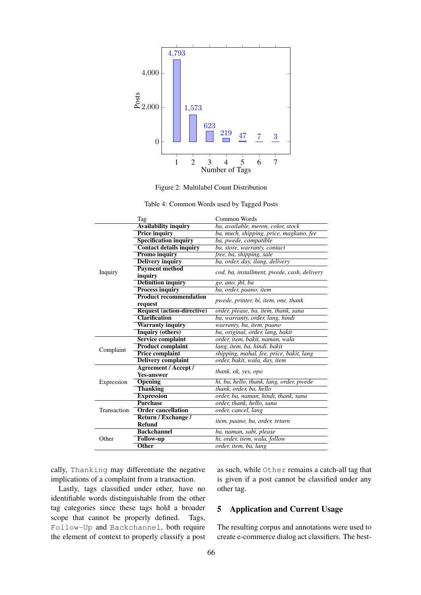<span id="page-5-1"></span>



|  | Table 4: Common Words used by Tagged Posts |  |  |  |  |
|--|--------------------------------------------|--|--|--|--|
|--|--------------------------------------------|--|--|--|--|

<span id="page-5-2"></span>

|             | Tag                               | Common Words                                |  |  |
|-------------|-----------------------------------|---------------------------------------------|--|--|
|             | <b>Availability inquiry</b>       | ba, available, meron, color, stock          |  |  |
|             | <b>Price inquiry</b>              | ba, much, shipping, price, magkano, fee     |  |  |
|             | <b>Specification inquiry</b>      | ba, pwede, compatible                       |  |  |
|             | <b>Contact details inquiry</b>    | ba, store, warranty, contact                |  |  |
|             | <b>Promo inquiry</b>              | free, ba, shipping, sale                    |  |  |
|             | <b>Delivery inquiry</b>           | ba, order, day, ilang, delivery             |  |  |
|             | <b>Payment method</b>             |                                             |  |  |
| Inquiry     | inquiry                           | cod, ba, installment, pwede, cash, delivery |  |  |
|             | <b>Definition inquiry</b>         | go, ano, jbl, ba                            |  |  |
|             | <b>Process inquiry</b>            | ba, order, paano, item                      |  |  |
|             | <b>Product recommendation</b>     | pwede, printer, hi, item, one, thank        |  |  |
|             | request                           |                                             |  |  |
|             | <b>Request (action-directive)</b> | order, please, ba, item, thank, sana        |  |  |
|             | <b>Clarification</b>              | ba, warranty, order, lang, hindi            |  |  |
|             | <b>Warranty inquiry</b>           | warranty, ba, item, paano                   |  |  |
|             | <b>Inquiry (others)</b>           | ba, original, order, lang, bakit            |  |  |
|             | <b>Service complaint</b>          | order, item, bakit, naman, wala             |  |  |
| Complaint   | <b>Product complaint</b>          | lang, item, ba, hindi, bakit                |  |  |
|             | <b>Price complaint</b>            | shipping, mahal, fee, price, bakit, lang    |  |  |
|             | <b>Delivery complaint</b>         | order, bakit, wala, day, item               |  |  |
|             | <b>Agreement / Accept /</b>       | thank, ok, yes, opo                         |  |  |
|             | <b>Yes-answer</b>                 |                                             |  |  |
| Expression  | <b>Opening</b>                    | hi, ba, hello, thank, lang, order, pwede    |  |  |
|             | <b>Thanking</b>                   | thank, order, ba, hello                     |  |  |
|             | <b>Expression</b>                 | order, ba, naman, hindi, thank, sana        |  |  |
|             | <b>Purchase</b>                   | order, thank, hello, sana                   |  |  |
| Transaction | <b>Order cancellation</b>         | order, cancel, lang                         |  |  |
|             | Return / Exchange /               | item, paano, ba, order, return              |  |  |
|             | <b>Refund</b>                     |                                             |  |  |
|             | <b>Backchannel</b>                | ba, naman, sabi, please                     |  |  |
| Other       | <b>Follow-up</b>                  | hi, order, item, wala, follow               |  |  |
|             | Other                             | order, item, ba, lang                       |  |  |

cally, Thanking may differentiate the negative implications of a complaint from a transaction.

Lastly, tags classified under other, have no identifiable words distinguishable from the other tag categories since these tags hold a broader scope that cannot be properly defined. Tags, Follow-Up and Backchannel, both require the element of context to properly classify a post as such, while Other remains a catch-all tag that is given if a post cannot be classified under any other tag.

# <span id="page-5-0"></span>5 Application and Current Usage

The resulting corpus and annotations were used to create e-commerce dialog act classifiers. The best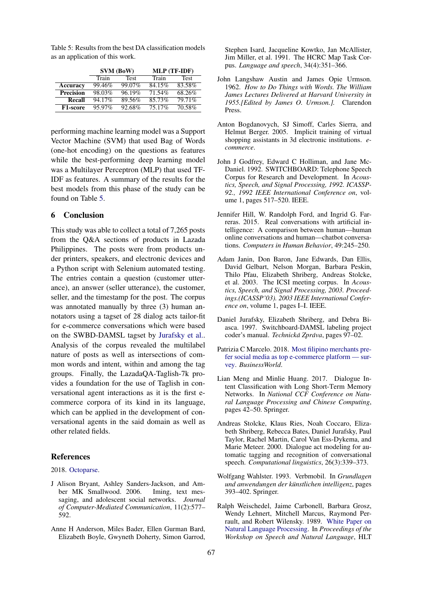<span id="page-6-14"></span>Table 5: Results from the best DA classification models as an application of this work.

|                  | SVM (BoW) |           | MLP (TF-IDF) |             |
|------------------|-----------|-----------|--------------|-------------|
|                  | Train     | Test      | Train        | <b>Test</b> |
| Accuracy         | 99.46%    | 99.07%    | 84.15%       | 83.58%      |
| <b>Precision</b> | 98.03%    | 96.19%    | 71.54%       | 68.26%      |
| <b>Recall</b>    | 94.17%    | 89.56%    | 85.73%       | 79.71%      |
| F1-score         | 95.97%    | $92.68\%$ | 75.17%       | 70.58%      |

performing machine learning model was a Support Vector Machine (SVM) that used Bag of Words (one-hot encoding) on the questions as features while the best-performing deep learning model was a Multilayer Perceptron (MLP) that used TF-IDF as features. A summary of the results for the best models from this phase of the study can be found on Table [5.](#page-6-14)

# 6 Conclusion

This study was able to collect a total of 7,265 posts from the Q&A sections of products in Lazada Philippines. The posts were from products under printers, speakers, and electronic devices and a Python script with Selenium automated testing. The entries contain a question (customer utterance), an answer (seller utterance), the customer, seller, and the timestamp for the post. The corpus was annotated manually by three (3) human annotators using a tagset of 28 dialog acts tailor-fit for e-commerce conversations which were based on the SWBD-DAMSL tagset by [Jurafsky et al..](#page-6-13) Analysis of the corpus revealed the multilabel nature of posts as well as intersections of common words and intent, within and among the tag groups. Finally, the LazadaQA-Taglish-7k provides a foundation for the use of Taglish in conversational agent interactions as it is the first ecommerce corpora of its kind in its language, which can be applied in the development of conversational agents in the said domain as well as other related fields.

### **References**

### <span id="page-6-12"></span>2018. [Octoparse.](https://www.octoparse.com/)

- <span id="page-6-0"></span>J Alison Bryant, Ashley Sanders-Jackson, and Amber MK Smallwood. 2006. Iming, text messaging, and adolescent social networks. *Journal of Computer-Mediated Communication*, 11(2):577– 592.
- <span id="page-6-8"></span>Anne H Anderson, Miles Bader, Ellen Gurman Bard, Elizabeth Boyle, Gwyneth Doherty, Simon Garrod,

Stephen Isard, Jacqueline Kowtko, Jan McAllister, Jim Miller, et al. 1991. The HCRC Map Task Corpus. *Language and speech*, 34(4):351–366.

- <span id="page-6-5"></span>John Langshaw Austin and James Opie Urmson. 1962. *How to Do Things with Words. The William James Lectures Delivered at Harvard University in 1955.[Edited by James O. Urmson.].* Clarendon Press.
- <span id="page-6-2"></span>Anton Bogdanovych, SJ Simoff, Carles Sierra, and Helmut Berger. 2005. Implicit training of virtual shopping assistants in 3d electronic institutions. *ecommerce*.
- <span id="page-6-7"></span>John J Godfrey, Edward C Holliman, and Jane Mc-Daniel. 1992. SWITCHBOARD: Telephone Speech Corpus for Research and Development. In *Acoustics, Speech, and Signal Processing, 1992. ICASSP-92., 1992 IEEE International Conference on*, volume 1, pages 517–520. IEEE.
- <span id="page-6-4"></span>Jennifer Hill, W. Randolph Ford, and Ingrid G. Farreras. 2015. Real conversations with artificial intelligence: A comparison between human—human online conversations and human—chatbot conversations. *Computers in Human Behavior*, 49:245–250.
- <span id="page-6-9"></span>Adam Janin, Don Baron, Jane Edwards, Dan Ellis, David Gelbart, Nelson Morgan, Barbara Peskin, Thilo Pfau, Elizabeth Shriberg, Andreas Stolcke, et al. 2003. The ICSI meeting corpus. In *Acoustics, Speech, and Signal Processing, 2003. Proceedings.(ICASSP'03). 2003 IEEE International Conference on*, volume 1, pages I–I. IEEE.
- <span id="page-6-13"></span>Daniel Jurafsky, Elizabeth Shriberg, and Debra Biasca. 1997. Switchboard-DAMSL labeling project coder's manual. *Technicka Zpr ´ ava ´* , pages 97–02.
- <span id="page-6-1"></span>Patrizia C Marcelo. 2018. [Most filipino merchants pre](https://www.bworldonline.com/most-filipino-merchants-prefer-social-media-as-top-e-commerce-platform-survey/)[fer social media as top e-commerce platform — sur](https://www.bworldonline.com/most-filipino-merchants-prefer-social-media-as-top-e-commerce-platform-survey/)[vey.](https://www.bworldonline.com/most-filipino-merchants-prefer-social-media-as-top-e-commerce-platform-survey/) *BusinessWorld*.
- <span id="page-6-11"></span>Lian Meng and Minlie Huang. 2017. Dialogue Intent Classification with Long Short-Term Memory Networks. In *National CCF Conference on Natural Language Processing and Chinese Computing*, pages 42–50. Springer.
- <span id="page-6-6"></span>Andreas Stolcke, Klaus Ries, Noah Coccaro, Elizabeth Shriberg, Rebecca Bates, Daniel Jurafsky, Paul Taylor, Rachel Martin, Carol Van Ess-Dykema, and Marie Meteer. 2000. Dialogue act modeling for automatic tagging and recognition of conversational speech. *Computational linguistics*, 26(3):339–373.
- <span id="page-6-10"></span>Wolfgang Wahlster. 1993. Verbmobil. In *Grundlagen und anwendungen der künstlichen intelligenz*, pages 393–402. Springer.
- <span id="page-6-3"></span>Ralph Weischedel, Jaime Carbonell, Barbara Grosz, Wendy Lehnert, Mitchell Marcus, Raymond Perrault, and Robert Wilensky. 1989. [White Paper on](https://doi.org/10.3115/1075434.1075526) [Natural Language Processing.](https://doi.org/10.3115/1075434.1075526) In *Proceedings of the Workshop on Speech and Natural Language*, HLT